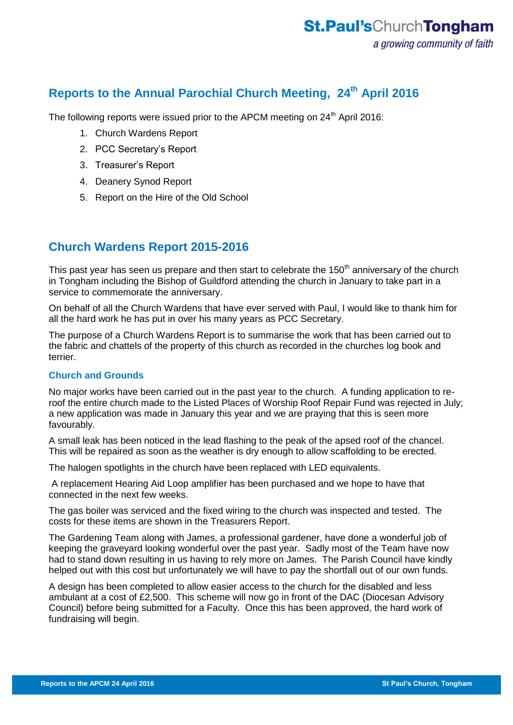## **Reports to the Annual Parochial Church Meeting, 24th April 2016**

The following reports were issued prior to the APCM meeting on 24<sup>th</sup> April 2016:

- 1. Church Wardens Report
- 2. PCC Secretary's Report
- 3. Treasurer's Report
- 4. Deanery Synod Report
- 5. Report on the Hire of the Old School

## **Church Wardens Report 2015-2016**

This past year has seen us prepare and then start to celebrate the 150<sup>th</sup> anniversary of the church in Tongham including the Bishop of Guildford attending the church in January to take part in a service to commemorate the anniversary.

On behalf of all the Church Wardens that have ever served with Paul, I would like to thank him for all the hard work he has put in over his many years as PCC Secretary.

The purpose of a Church Wardens Report is to summarise the work that has been carried out to the fabric and chattels of the property of this church as recorded in the churches log book and terrier.

### **Church and Grounds**

No major works have been carried out in the past year to the church. A funding application to reroof the entire church made to the Listed Places of Worship Roof Repair Fund was rejected in July; a new application was made in January this year and we are praying that this is seen more favourably.

A small leak has been noticed in the lead flashing to the peak of the apsed roof of the chancel. This will be repaired as soon as the weather is dry enough to allow scaffolding to be erected.

The halogen spotlights in the church have been replaced with LED equivalents.

A replacement Hearing Aid Loop amplifier has been purchased and we hope to have that connected in the next few weeks.

The gas boiler was serviced and the fixed wiring to the church was inspected and tested. The costs for these items are shown in the Treasurers Report.

The Gardening Team along with James, a professional gardener, have done a wonderful job of keeping the graveyard looking wonderful over the past year. Sadly most of the Team have now had to stand down resulting in us having to rely more on James. The Parish Council have kindly helped out with this cost but unfortunately we will have to pay the shortfall out of our own funds.

A design has been completed to allow easier access to the church for the disabled and less ambulant at a cost of £2,500. This scheme will now go in front of the DAC (Diocesan Advisory Council) before being submitted for a Faculty. Once this has been approved, the hard work of fundraising will begin.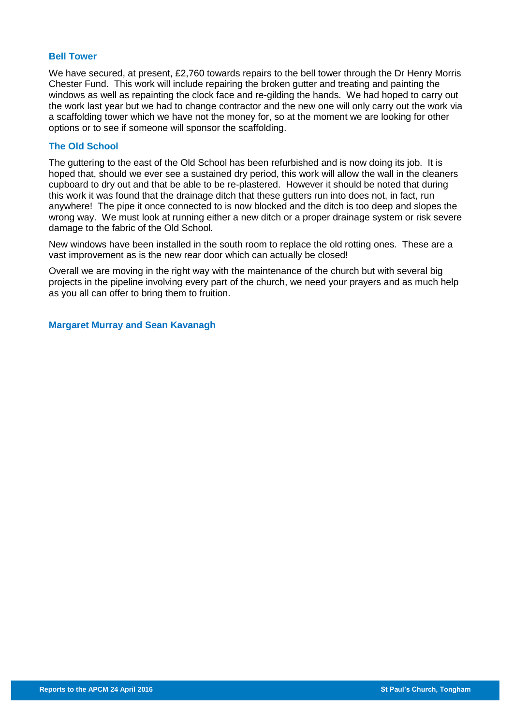#### **Bell Tower**

We have secured, at present, £2,760 towards repairs to the bell tower through the Dr Henry Morris Chester Fund. This work will include repairing the broken gutter and treating and painting the windows as well as repainting the clock face and re-gilding the hands. We had hoped to carry out the work last year but we had to change contractor and the new one will only carry out the work via a scaffolding tower which we have not the money for, so at the moment we are looking for other options or to see if someone will sponsor the scaffolding.

#### **The Old School**

The guttering to the east of the Old School has been refurbished and is now doing its job. It is hoped that, should we ever see a sustained dry period, this work will allow the wall in the cleaners cupboard to dry out and that be able to be re-plastered. However it should be noted that during this work it was found that the drainage ditch that these gutters run into does not, in fact, run anywhere! The pipe it once connected to is now blocked and the ditch is too deep and slopes the wrong way. We must look at running either a new ditch or a proper drainage system or risk severe damage to the fabric of the Old School.

New windows have been installed in the south room to replace the old rotting ones. These are a vast improvement as is the new rear door which can actually be closed!

Overall we are moving in the right way with the maintenance of the church but with several big projects in the pipeline involving every part of the church, we need your prayers and as much help as you all can offer to bring them to fruition.

**Margaret Murray and Sean Kavanagh**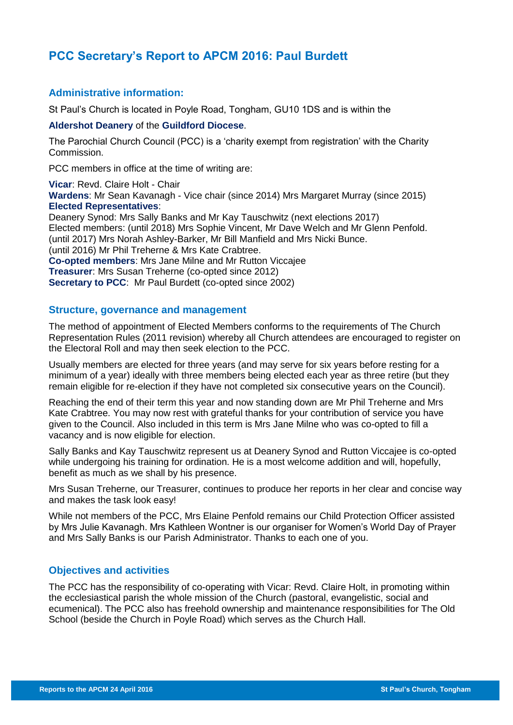## **PCC Secretary's Report to APCM 2016: Paul Burdett**

### **Administrative information:**

St Paul's Church is located in Poyle Road, Tongham, GU10 1DS and is within the

#### **Aldershot Deanery** of the **Guildford Diocese**.

The Parochial Church Council (PCC) is a 'charity exempt from registration' with the Charity Commission.

PCC members in office at the time of writing are:

**Vicar**: Revd. Claire Holt - Chair **Wardens**: Mr Sean Kavanagh - Vice chair (since 2014) Mrs Margaret Murray (since 2015) **Elected Representatives**:

Deanery Synod: Mrs Sally Banks and Mr Kay Tauschwitz (next elections 2017) Elected members: (until 2018) Mrs Sophie Vincent, Mr Dave Welch and Mr Glenn Penfold. (until 2017) Mrs Norah Ashley-Barker, Mr Bill Manfield and Mrs Nicki Bunce. (until 2016) Mr Phil Treherne & Mrs Kate Crabtree. **Co-opted members**: Mrs Jane Milne and Mr Rutton Viccajee **Treasurer**: Mrs Susan Treherne (co-opted since 2012) **Secretary to PCC:** Mr Paul Burdett (co-opted since 2002)

### **Structure, governance and management**

The method of appointment of Elected Members conforms to the requirements of The Church Representation Rules (2011 revision) whereby all Church attendees are encouraged to register on the Electoral Roll and may then seek election to the PCC.

Usually members are elected for three years (and may serve for six years before resting for a minimum of a year) ideally with three members being elected each year as three retire (but they remain eligible for re-election if they have not completed six consecutive years on the Council).

Reaching the end of their term this year and now standing down are Mr Phil Treherne and Mrs Kate Crabtree. You may now rest with grateful thanks for your contribution of service you have given to the Council. Also included in this term is Mrs Jane Milne who was co-opted to fill a vacancy and is now eligible for election.

Sally Banks and Kay Tauschwitz represent us at Deanery Synod and Rutton Viccajee is co-opted while undergoing his training for ordination. He is a most welcome addition and will, hopefully, benefit as much as we shall by his presence.

Mrs Susan Treherne, our Treasurer, continues to produce her reports in her clear and concise way and makes the task look easy!

While not members of the PCC, Mrs Elaine Penfold remains our Child Protection Officer assisted by Mrs Julie Kavanagh. Mrs Kathleen Wontner is our organiser for Women's World Day of Prayer and Mrs Sally Banks is our Parish Administrator. Thanks to each one of you.

### **Objectives and activities**

The PCC has the responsibility of co-operating with Vicar: Revd. Claire Holt, in promoting within the ecclesiastical parish the whole mission of the Church (pastoral, evangelistic, social and ecumenical). The PCC also has freehold ownership and maintenance responsibilities for The Old School (beside the Church in Poyle Road) which serves as the Church Hall.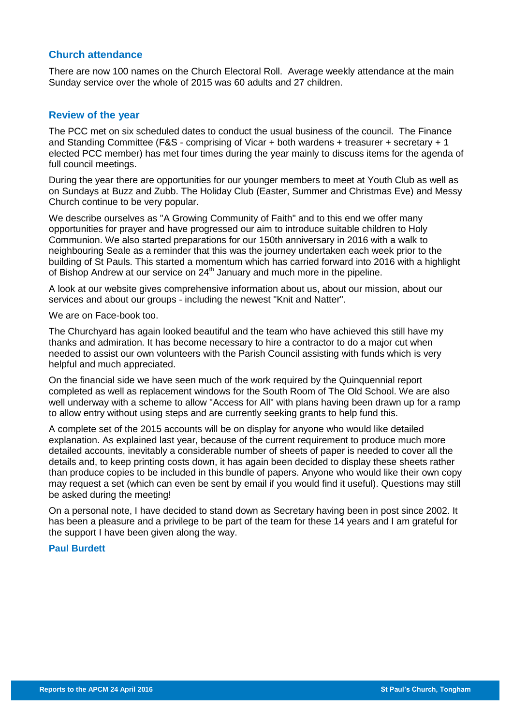#### **Church attendance**

There are now 100 names on the Church Electoral Roll. Average weekly attendance at the main Sunday service over the whole of 2015 was 60 adults and 27 children.

#### **Review of the year**

The PCC met on six scheduled dates to conduct the usual business of the council. The Finance and Standing Committee (F&S - comprising of Vicar + both wardens + treasurer + secretary + 1 elected PCC member) has met four times during the year mainly to discuss items for the agenda of full council meetings.

During the year there are opportunities for our younger members to meet at Youth Club as well as on Sundays at Buzz and Zubb. The Holiday Club (Easter, Summer and Christmas Eve) and Messy Church continue to be very popular.

We describe ourselves as "A Growing Community of Faith" and to this end we offer many opportunities for prayer and have progressed our aim to introduce suitable children to Holy Communion. We also started preparations for our 150th anniversary in 2016 with a walk to neighbouring Seale as a reminder that this was the journey undertaken each week prior to the building of St Pauls. This started a momentum which has carried forward into 2016 with a highlight of Bishop Andrew at our service on 24<sup>th</sup> January and much more in the pipeline.

A look at our website gives comprehensive information about us, about our mission, about our services and about our groups - including the newest "Knit and Natter".

We are on Face-book too.

The Churchyard has again looked beautiful and the team who have achieved this still have my thanks and admiration. It has become necessary to hire a contractor to do a major cut when needed to assist our own volunteers with the Parish Council assisting with funds which is very helpful and much appreciated.

On the financial side we have seen much of the work required by the Quinquennial report completed as well as replacement windows for the South Room of The Old School. We are also well underway with a scheme to allow "Access for All" with plans having been drawn up for a ramp to allow entry without using steps and are currently seeking grants to help fund this.

A complete set of the 2015 accounts will be on display for anyone who would like detailed explanation. As explained last year, because of the current requirement to produce much more detailed accounts, inevitably a considerable number of sheets of paper is needed to cover all the details and, to keep printing costs down, it has again been decided to display these sheets rather than produce copies to be included in this bundle of papers. Anyone who would like their own copy may request a set (which can even be sent by email if you would find it useful). Questions may still be asked during the meeting!

On a personal note, I have decided to stand down as Secretary having been in post since 2002. It has been a pleasure and a privilege to be part of the team for these 14 years and I am grateful for the support I have been given along the way.

#### **Paul Burdett**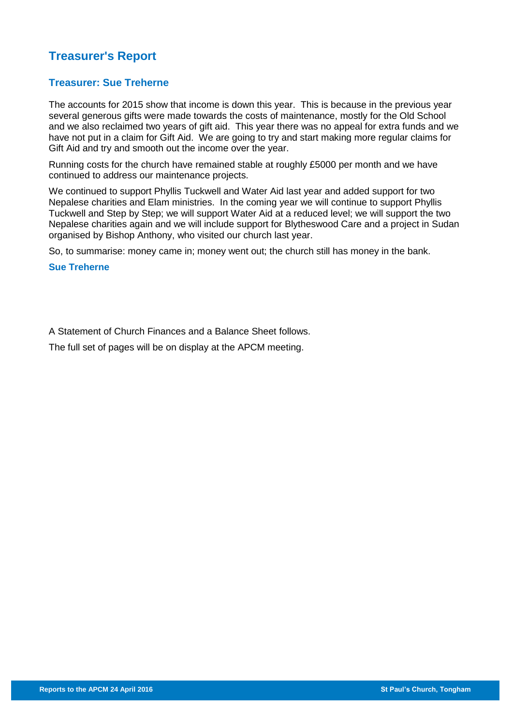# **Treasurer's Report**

### **Treasurer: Sue Treherne**

The accounts for 2015 show that income is down this year. This is because in the previous year several generous gifts were made towards the costs of maintenance, mostly for the Old School and we also reclaimed two years of gift aid. This year there was no appeal for extra funds and we have not put in a claim for Gift Aid. We are going to try and start making more regular claims for Gift Aid and try and smooth out the income over the year.

Running costs for the church have remained stable at roughly £5000 per month and we have continued to address our maintenance projects.

We continued to support Phyllis Tuckwell and Water Aid last year and added support for two Nepalese charities and Elam ministries. In the coming year we will continue to support Phyllis Tuckwell and Step by Step; we will support Water Aid at a reduced level; we will support the two Nepalese charities again and we will include support for Blytheswood Care and a project in Sudan organised by Bishop Anthony, who visited our church last year.

So, to summarise: money came in; money went out; the church still has money in the bank.

#### **Sue Treherne**

A Statement of Church Finances and a Balance Sheet follows.

The full set of pages will be on display at the APCM meeting.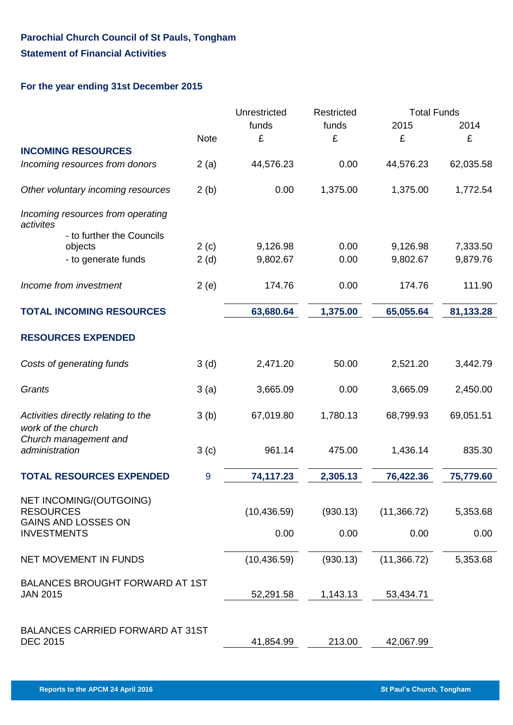## **Parochial Church Council of St Pauls, Tongham Statement of Financial Activities**

### **For the year ending 31st December 2015**

|                                                            |                  | Unrestricted | Restricted | <b>Total Funds</b> |           |
|------------------------------------------------------------|------------------|--------------|------------|--------------------|-----------|
|                                                            |                  | funds        | funds      | 2015               | 2014      |
|                                                            | <b>Note</b>      | £            | £          | £                  | £         |
| <b>INCOMING RESOURCES</b>                                  |                  |              |            |                    |           |
| Incoming resources from donors                             | 2(a)             | 44,576.23    | 0.00       | 44,576.23          | 62,035.58 |
| Other voluntary incoming resources                         | 2(b)             | 0.00         | 1,375.00   | 1,375.00           | 1,772.54  |
| Incoming resources from operating<br>activites             |                  |              |            |                    |           |
| - to further the Councils                                  |                  |              |            |                    |           |
| objects                                                    | 2(c)             | 9,126.98     | 0.00       | 9,126.98           | 7,333.50  |
| - to generate funds                                        | 2(d)             | 9,802.67     | 0.00       | 9,802.67           | 9,879.76  |
| Income from investment                                     | 2(e)             | 174.76       | 0.00       | 174.76             | 111.90    |
| <b>TOTAL INCOMING RESOURCES</b>                            |                  | 63,680.64    | 1,375.00   | 65,055.64          | 81,133.28 |
| <b>RESOURCES EXPENDED</b>                                  |                  |              |            |                    |           |
|                                                            |                  |              |            |                    |           |
| Costs of generating funds                                  | 3(d)             | 2,471.20     | 50.00      | 2,521.20           | 3,442.79  |
| Grants                                                     | 3(a)             | 3,665.09     | 0.00       | 3,665.09           | 2,450.00  |
| Activities directly relating to the<br>work of the church  | 3(b)             | 67,019.80    | 1,780.13   | 68,799.93          | 69,051.51 |
| Church management and                                      |                  |              |            |                    |           |
| administration                                             | 3 <sub>(c)</sub> | 961.14       | 475.00     | 1,436.14           | 835.30    |
| <b>TOTAL RESOURCES EXPENDED</b>                            | 9                | 74,117.23    | 2,305.13   | 76,422.36          | 75,779.60 |
| NET INCOMING/(OUTGOING)                                    |                  |              |            |                    |           |
| <b>RESOURCES</b>                                           |                  | (10, 436.59) | (930.13)   | (11,366.72)        | 5,353.68  |
| <b>GAINS AND LOSSES ON</b><br><b>INVESTMENTS</b>           |                  | 0.00         | 0.00       | 0.00               | 0.00      |
| <b>NET MOVEMENT IN FUNDS</b>                               |                  | (10, 436.59) | (930.13)   | (11,366.72)        | 5,353.68  |
| <b>BALANCES BROUGHT FORWARD AT 1ST</b>                     |                  |              |            |                    |           |
| <b>JAN 2015</b>                                            |                  | 52,291.58    | 1,143.13   | 53,434.71          |           |
|                                                            |                  |              |            |                    |           |
| <b>BALANCES CARRIED FORWARD AT 31ST</b><br><b>DEC 2015</b> |                  | 41,854.99    | 213.00     | 42,067.99          |           |
|                                                            |                  |              |            |                    |           |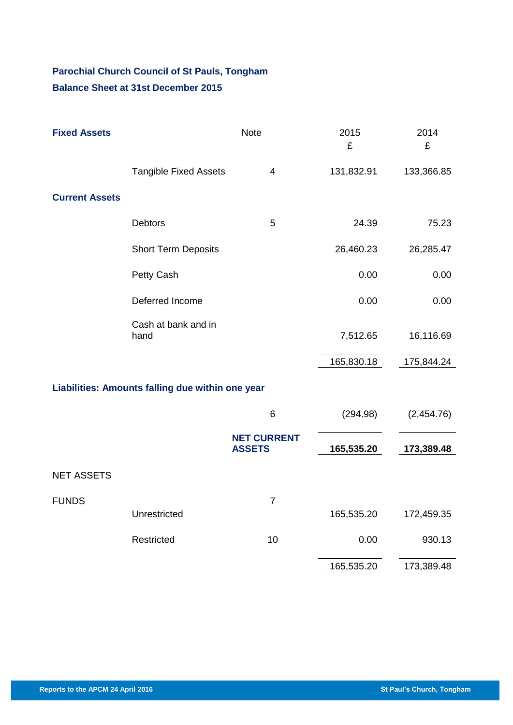# **Parochial Church Council of St Pauls, Tongham Balance Sheet at 31st December 2015**

| <b>Fixed Assets</b>                              | <b>Note</b>                  |                                     | 2015<br>£  | 2014<br>£  |  |  |  |
|--------------------------------------------------|------------------------------|-------------------------------------|------------|------------|--|--|--|
|                                                  | <b>Tangible Fixed Assets</b> | 4                                   | 131,832.91 | 133,366.85 |  |  |  |
| <b>Current Assets</b>                            |                              |                                     |            |            |  |  |  |
|                                                  | Debtors                      | 5                                   | 24.39      | 75.23      |  |  |  |
|                                                  | <b>Short Term Deposits</b>   |                                     | 26,460.23  | 26,285.47  |  |  |  |
|                                                  | Petty Cash                   |                                     | 0.00       | 0.00       |  |  |  |
|                                                  | Deferred Income              |                                     | 0.00       | 0.00       |  |  |  |
|                                                  | Cash at bank and in<br>hand  |                                     | 7,512.65   | 16,116.69  |  |  |  |
|                                                  |                              |                                     | 165,830.18 | 175,844.24 |  |  |  |
| Liabilities: Amounts falling due within one year |                              |                                     |            |            |  |  |  |
|                                                  |                              | 6                                   | (294.98)   | (2,454.76) |  |  |  |
|                                                  |                              | <b>NET CURRENT</b><br><b>ASSETS</b> | 165,535.20 | 173,389.48 |  |  |  |
| <b>NET ASSETS</b>                                |                              |                                     |            |            |  |  |  |
| <b>FUNDS</b>                                     | Unrestricted                 | $\overline{7}$                      | 165,535.20 | 172,459.35 |  |  |  |
|                                                  | Restricted                   | 10                                  | 0.00       | 930.13     |  |  |  |
|                                                  |                              |                                     | 165,535.20 | 173,389.48 |  |  |  |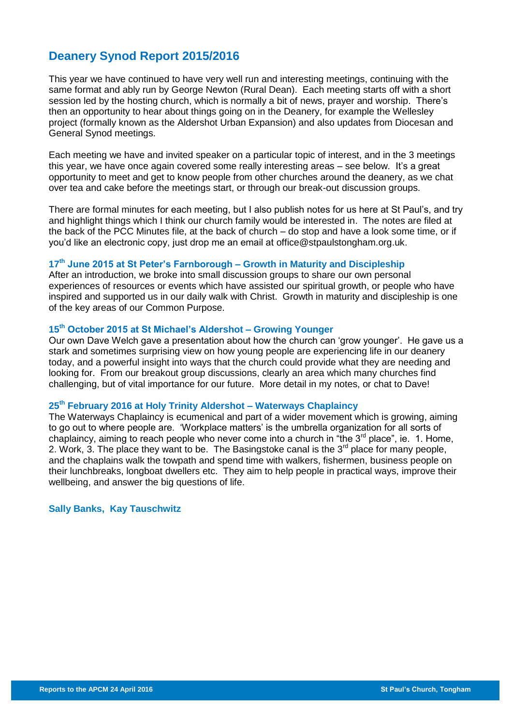## **Deanery Synod Report 2015/2016**

This year we have continued to have very well run and interesting meetings, continuing with the same format and ably run by George Newton (Rural Dean). Each meeting starts off with a short session led by the hosting church, which is normally a bit of news, prayer and worship. There's then an opportunity to hear about things going on in the Deanery, for example the Wellesley project (formally known as the Aldershot Urban Expansion) and also updates from Diocesan and General Synod meetings.

Each meeting we have and invited speaker on a particular topic of interest, and in the 3 meetings this year, we have once again covered some really interesting areas – see below. It's a great opportunity to meet and get to know people from other churches around the deanery, as we chat over tea and cake before the meetings start, or through our break-out discussion groups.

There are formal minutes for each meeting, but I also publish notes for us here at St Paul's, and try and highlight things which I think our church family would be interested in. The notes are filed at the back of the PCC Minutes file, at the back of church – do stop and have a look some time, or if you'd like an electronic copy, just drop me an email at [office@stpaulstongham.org.uk.](mailto:office@stpaulstongham.org.uk)

#### **17 th June 2015 at St Peter's Farnborough – Growth in Maturity and Discipleship**

After an introduction, we broke into small discussion groups to share our own personal experiences of resources or events which have assisted our spiritual growth, or people who have inspired and supported us in our daily walk with Christ. Growth in maturity and discipleship is one of the key areas of our Common Purpose.

#### **15 th October 2015 at St Michael's Aldershot – Growing Younger**

Our own Dave Welch gave a presentation about how the church can 'grow younger'. He gave us a stark and sometimes surprising view on how young people are experiencing life in our deanery today, and a powerful insight into ways that the church could provide what they are needing and looking for. From our breakout group discussions, clearly an area which many churches find challenging, but of vital importance for our future. More detail in my notes, or chat to Dave!

#### **25 th February 2016 at Holy Trinity Aldershot – Waterways Chaplaincy**

The Waterways Chaplaincy is ecumenical and part of a wider movement which is growing, aiming to go out to where people are. 'Workplace matters' is the umbrella organization for all sorts of chaplaincy, aiming to reach people who never come into a church in "the  $3<sup>rd</sup>$  place", ie. 1. Home, 2. Work, 3. The place they want to be. The Basingstoke canal is the  $3<sup>rd</sup>$  place for many people, and the chaplains walk the towpath and spend time with walkers, fishermen, business people on their lunchbreaks, longboat dwellers etc. They aim to help people in practical ways, improve their wellbeing, and answer the big questions of life.

#### **Sally Banks, Kay Tauschwitz**